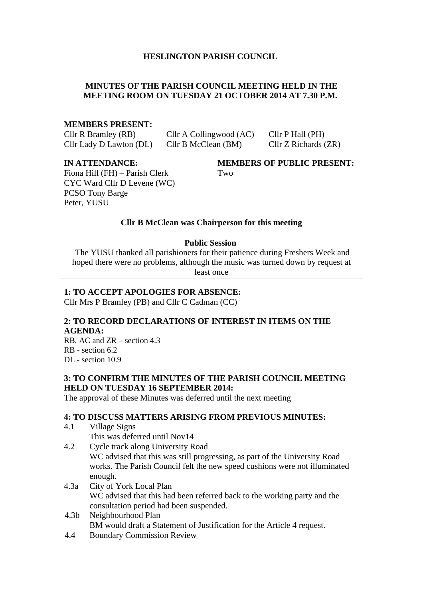# **HESLINGTON PARISH COUNCIL**

# **MINUTES OF THE PARISH COUNCIL MEETING HELD IN THE MEETING ROOM ON TUESDAY 21 OCTOBER 2014 AT 7.30 P.M.**

#### **MEMBERS PRESENT:**

Cllr R Bramley (RB) Cllr A Collingwood (AC) Cllr P Hall (PH) Cllr Lady D Lawton (DL) Cllr B McClean (BM) Cllr Z Richards (ZR)

Fiona Hill (FH) – Parish Clerk Two CYC Ward Cllr D Levene (WC) PCSO Tony Barge Peter, YUSU

**IN ATTENDANCE: MEMBERS OF PUBLIC PRESENT:**

## **Cllr B McClean was Chairperson for this meeting**

#### **Public Session**

The YUSU thanked all parishioners for their patience during Freshers Week and hoped there were no problems, although the music was turned down by request at least once

#### **1: TO ACCEPT APOLOGIES FOR ABSENCE:**

Cllr Mrs P Bramley (PB) and Cllr C Cadman (CC)

#### **2: TO RECORD DECLARATIONS OF INTEREST IN ITEMS ON THE AGENDA:**

RB, AC and ZR – section 4.3 RB - section 6.2 DL - section 10.9

### **3: TO CONFIRM THE MINUTES OF THE PARISH COUNCIL MEETING HELD ON TUESDAY 16 SEPTEMBER 2014:**

The approval of these Minutes was deferred until the next meeting

## **4: TO DISCUSS MATTERS ARISING FROM PREVIOUS MINUTES:**

- 4.1 Village Signs
	- This was deferred until Nov14
- 4.2 Cycle track along University Road WC advised that this was still progressing, as part of the University Road works. The Parish Council felt the new speed cushions were not illuminated enough.
- 4.3a City of York Local Plan WC advised that this had been referred back to the working party and the consultation period had been suspended.
- 4.3b Neighbourhood Plan BM would draft a Statement of Justification for the Article 4 request.
- 4.4 Boundary Commission Review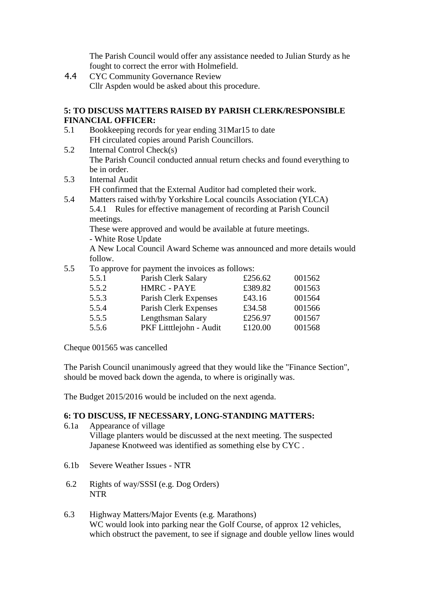The Parish Council would offer any assistance needed to Julian Sturdy as he fought to correct the error with Holmefield.

4.4 CYC Community Governance Review Cllr Aspden would be asked about this procedure.

### **5: TO DISCUSS MATTERS RAISED BY PARISH CLERK/RESPONSIBLE FINANCIAL OFFICER:**

- 5.1 Bookkeeping records for year ending 31Mar15 to date FH circulated copies around Parish Councillors.
- 5.2 Internal Control Check(s) The Parish Council conducted annual return checks and found everything to be in order.
- 5.3 Internal Audit FH confirmed that the External Auditor had completed their work.
- 5.4 Matters raised with/by Yorkshire Local councils Association (YLCA) 5.4.1 Rules for effective management of recording at Parish Council meetings.

These were approved and would be available at future meetings.

- White Rose Update

A New Local Council Award Scheme was announced and more details would follow.

5.5 To approve for payment the invoices as follows:

| 5.5.1 | Parish Clerk Salary    | £256.62 | 001562 |
|-------|------------------------|---------|--------|
| 5.5.2 | <b>HMRC - PAYE</b>     | £389.82 | 001563 |
| 5.5.3 | Parish Clerk Expenses  | £43.16  | 001564 |
| 5.5.4 | Parish Clerk Expenses  | £34.58  | 001566 |
| 5.5.5 | Lengthsman Salary      | £256.97 | 001567 |
| 5.5.6 | PKF Littlejohn - Audit | £120.00 | 001568 |
|       |                        |         |        |

Cheque 001565 was cancelled

The Parish Council unanimously agreed that they would like the "Finance Section", should be moved back down the agenda, to where is originally was.

The Budget 2015/2016 would be included on the next agenda.

# **6: TO DISCUSS, IF NECESSARY, LONG-STANDING MATTERS:**

- 6.1a Appearance of village Village planters would be discussed at the next meeting. The suspected Japanese Knotweed was identified as something else by CYC .
- 6.1b Severe Weather Issues NTR
- 6.2 Rights of way/SSSI (e.g. Dog Orders) NTR
- 6.3 Highway Matters/Major Events (e.g. Marathons) WC would look into parking near the Golf Course, of approx 12 vehicles, which obstruct the pavement, to see if signage and double yellow lines would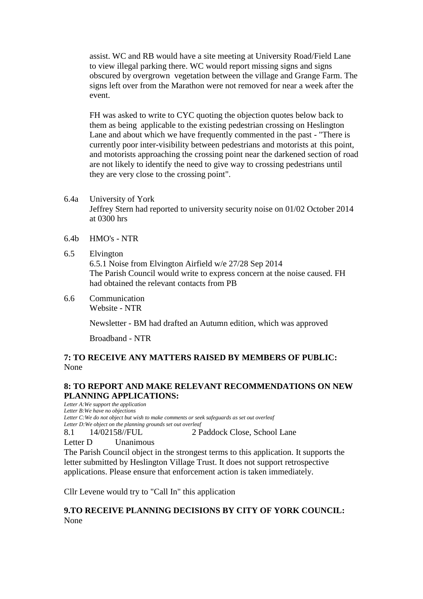assist. WC and RB would have a site meeting at University Road/Field Lane to view illegal parking there. WC would report missing signs and signs obscured by overgrown vegetation between the village and Grange Farm. The signs left over from the Marathon were not removed for near a week after the event.

FH was asked to write to CYC quoting the objection quotes below back to them as being applicable to the existing pedestrian crossing on Heslington Lane and about which we have frequently commented in the past - "There is currently poor inter-visibility between pedestrians and motorists at this point, and motorists approaching the crossing point near the darkened section of road are not likely to identify the need to give way to crossing pedestrians until they are very close to the crossing point".

- 6.4a University of York Jeffrey Stern had reported to university security noise on 01/02 October 2014 at 0300 hrs
- 6.4b HMO's NTR
- 6.5 Elvington 6.5.1 Noise from Elvington Airfield w/e 27/28 Sep 2014 The Parish Council would write to express concern at the noise caused. FH had obtained the relevant contacts from PB
- 6.6 Communication Website - NTR

Newsletter - BM had drafted an Autumn edition, which was approved

Broadband - NTR

# **7: TO RECEIVE ANY MATTERS RAISED BY MEMBERS OF PUBLIC:** None

# **8: TO REPORT AND MAKE RELEVANT RECOMMENDATIONS ON NEW PLANNING APPLICATIONS:**

*Letter A:We support the application Letter B:We have no objections Letter C:We do not object but wish to make comments or seek safeguards as set out overleaf Letter D:We object on the planning grounds set out overleaf* 8.1 14/02158//FUL 2 Paddock Close, School Lane

Letter D Unanimous

The Parish Council object in the strongest terms to this application. It supports the letter submitted by Heslington Village Trust. It does not support retrospective applications. Please ensure that enforcement action is taken immediately.

Cllr Levene would try to "Call In" this application

# **9.TO RECEIVE PLANNING DECISIONS BY CITY OF YORK COUNCIL:** None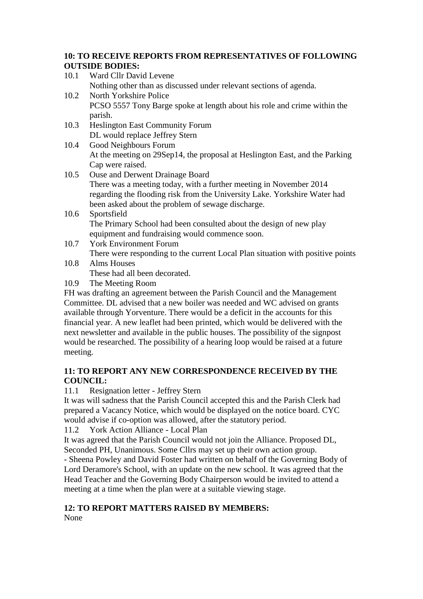# **10: TO RECEIVE REPORTS FROM REPRESENTATIVES OF FOLLOWING OUTSIDE BODIES:**

- 10.1 Ward Cllr David Levene Nothing other than as discussed under relevant sections of agenda. 10.2 North Yorkshire Police PCSO 5557 Tony Barge spoke at length about his role and crime within the parish.
- 10.3 Heslington East Community Forum DL would replace Jeffrey Stern
- 10.4 Good Neighbours Forum At the meeting on 29Sep14, the proposal at Heslington East, and the Parking Cap were raised.
- 10.5 Ouse and Derwent Drainage Board There was a meeting today, with a further meeting in November 2014 regarding the flooding risk from the University Lake. Yorkshire Water had been asked about the problem of sewage discharge.
- 10.6 Sportsfield The Primary School had been consulted about the design of new play equipment and fundraising would commence soon.
- 10.7 York Environment Forum There were responding to the current Local Plan situation with positive points

#### 10.8 Alms Houses These had all been decorated.

10.9 The Meeting Room

FH was drafting an agreement between the Parish Council and the Management Committee. DL advised that a new boiler was needed and WC advised on grants available through Yorventure. There would be a deficit in the accounts for this financial year. A new leaflet had been printed, which would be delivered with the next newsletter and available in the public houses. The possibility of the signpost would be researched. The possibility of a hearing loop would be raised at a future meeting.

# **11: TO REPORT ANY NEW CORRESPONDENCE RECEIVED BY THE COUNCIL:**

11.1 Resignation letter - Jeffrey Stern

It was will sadness that the Parish Council accepted this and the Parish Clerk had prepared a Vacancy Notice, which would be displayed on the notice board. CYC would advise if co-option was allowed, after the statutory period.

11.2 York Action Alliance - Local Plan

It was agreed that the Parish Council would not join the Alliance. Proposed DL, Seconded PH, Unanimous. Some Cllrs may set up their own action group.

- Sheena Powley and David Foster had written on behalf of the Governing Body of Lord Deramore's School, with an update on the new school. It was agreed that the Head Teacher and the Governing Body Chairperson would be invited to attend a meeting at a time when the plan were at a suitable viewing stage.

# **12: TO REPORT MATTERS RAISED BY MEMBERS:**

None